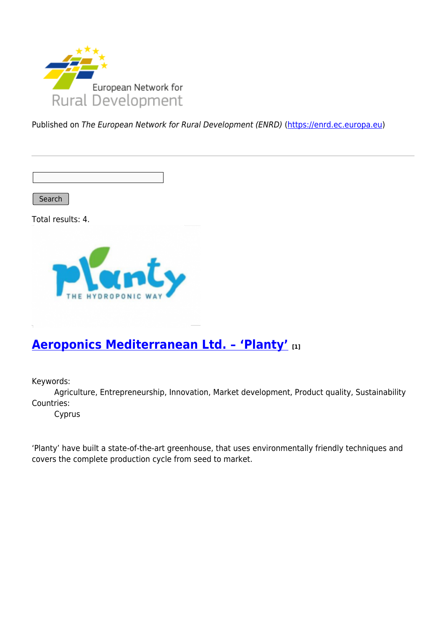

Published on The European Network for Rural Development (ENRD) [\(https://enrd.ec.europa.eu](https://enrd.ec.europa.eu))

Search

Total results: 4.



### **[Aeroponics Mediterranean Ltd. – 'Planty'](https://enrd.ec.europa.eu/projects-practice/aeroponics-mediterranean-ltd-planty_en) [1]**

Keywords:

Agriculture, Entrepreneurship, Innovation, Market development, Product quality, Sustainability Countries:

Cyprus

'Planty' have built a state-of-the-art greenhouse, that uses environmentally friendly techniques and covers the complete production cycle from seed to market.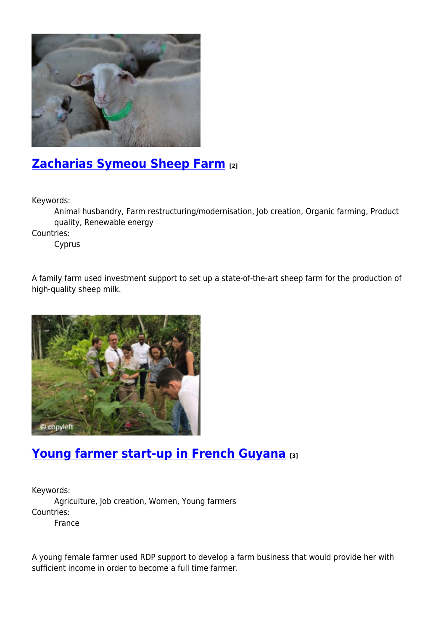

# **[Zacharias Symeou Sheep Farm](https://enrd.ec.europa.eu/projects-practice/zacharias-symeou-sheep-farm_en) [2]**

Keywords:

Animal husbandry, Farm restructuring/modernisation, Job creation, Organic farming, Product quality, Renewable energy

Countries:

Cyprus

A family farm used investment support to set up a state-of-the-art sheep farm for the production of high-quality sheep milk.



# **[Young farmer start-up in French Guyana](https://enrd.ec.europa.eu/projects-practice/young-farmer-start-french-guyana_en) [3]**

Keywords: Agriculture, Job creation, Women, Young farmers Countries: France

A young female farmer used RDP support to develop a farm business that would provide her with sufficient income in order to become a full time farmer.